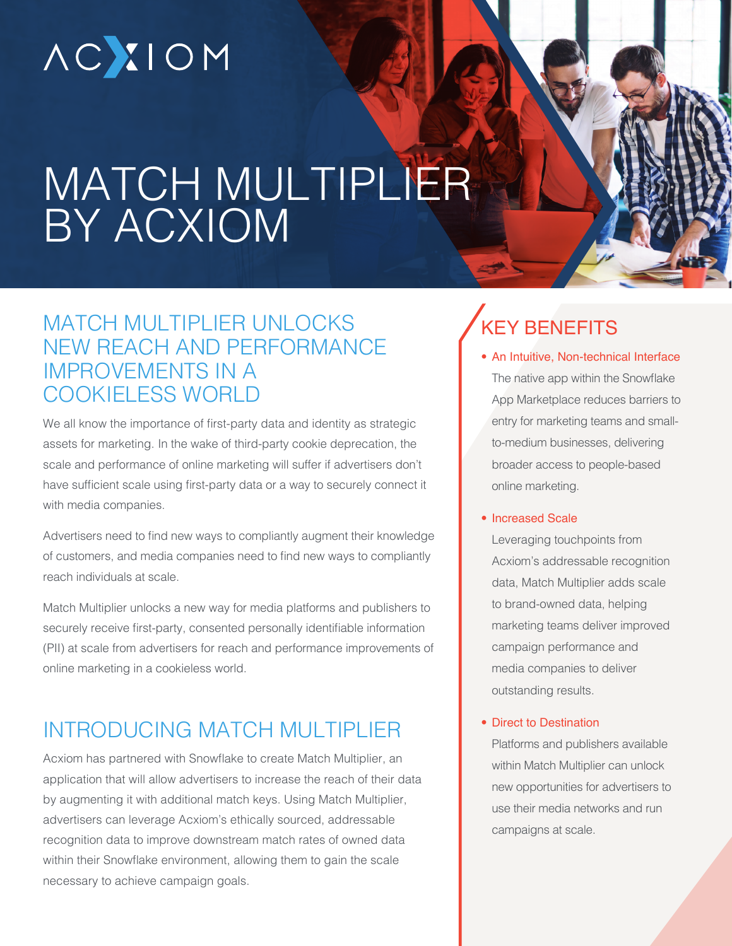# **ACXIOM**

## MATCH MULTIPLIER BY ACXIOM

### MATCH MULTIPLIER UNLOCKS NEW REACH AND PERFORMANCE IMPROVEMENTS IN A COOKIELESS WORLD

We all know the importance of first-party data and identity as strategic assets for marketing. In the wake of third-party cookie deprecation, the scale and performance of online marketing will suffer if advertisers don't have sufficient scale using first-party data or a way to securely connect it with media companies.

Advertisers need to find new ways to compliantly augment their knowledge of customers, and media companies need to find new ways to compliantly reach individuals at scale.

Match Multiplier unlocks a new way for media platforms and publishers to securely receive first-party, consented personally identifiable information (PII) at scale from advertisers for reach and performance improvements of online marketing in a cookieless world.

### INTRODUCING MATCH MULTIPLIER

Acxiom has partnered with Snowflake to create Match Multiplier, an application that will allow advertisers to increase the reach of their data by augmenting it with additional match keys. Using Match Multiplier, advertisers can leverage Acxiom's ethically sourced, addressable recognition data to improve downstream match rates of owned data within their Snowflake environment, allowing them to gain the scale necessary to achieve campaign goals.

## KEY BENEFITS

• An Intuitive, Non-technical Interface The native app within the Snowflake App Marketplace reduces barriers to entry for marketing teams and smallto-medium businesses, delivering broader access to people-based online marketing.

#### • Increased Scale

Leveraging touchpoints from Acxiom's addressable recognition data, Match Multiplier adds scale to brand-owned data, helping marketing teams deliver improved campaign performance and media companies to deliver outstanding results.

#### • Direct to Destination

Platforms and publishers available within Match Multiplier can unlock new opportunities for advertisers to use their media networks and run campaigns at scale.